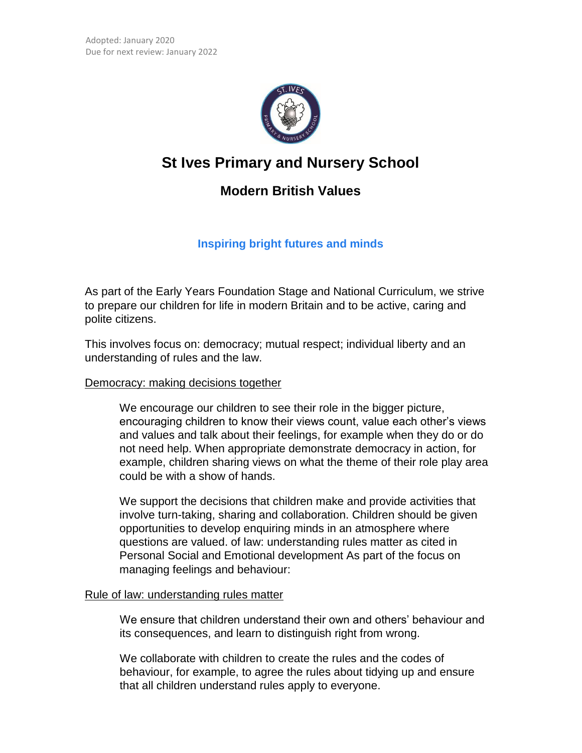

# **St Ives Primary and Nursery School**

# **Modern British Values**

## **Inspiring bright futures and minds**

As part of the Early Years Foundation Stage and National Curriculum, we strive to prepare our children for life in modern Britain and to be active, caring and polite citizens.

This involves focus on: democracy; mutual respect; individual liberty and an understanding of rules and the law.

### Democracy: making decisions together

 We encourage our children to see their role in the bigger picture, encouraging children to know their views count, value each other's views and values and talk about their feelings, for example when they do or do not need help. When appropriate demonstrate democracy in action, for example, children sharing views on what the theme of their role play area could be with a show of hands.

 We support the decisions that children make and provide activities that involve turn-taking, sharing and collaboration. Children should be given opportunities to develop enquiring minds in an atmosphere where questions are valued. of law: understanding rules matter as cited in Personal Social and Emotional development As part of the focus on managing feelings and behaviour:

### Rule of law: understanding rules matter

We ensure that children understand their own and others' behaviour and its consequences, and learn to distinguish right from wrong.

We collaborate with children to create the rules and the codes of behaviour, for example, to agree the rules about tidying up and ensure that all children understand rules apply to everyone.